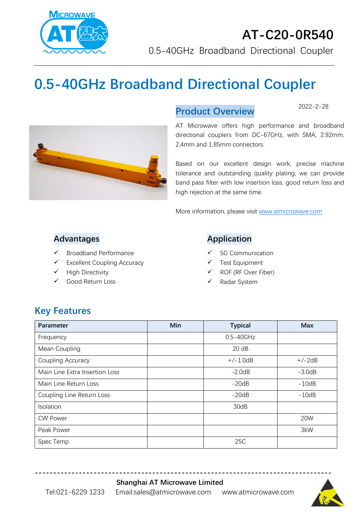

# **0.5-40GHz Broadband Directional Coupler**



#### **Product Overview**

2022-2-28

AT Microwave offers high performance and broadband directional couplers from DC-67GHz, with SMA, 2.92mm, 2,4mm and 1.85mm connectors.

Based on our excellent design work, precise machine tolerance and outstanding quality plating, we can provide band pass filter with low insertion loss, good return loss and high rejection at the same time.

More information, please visit [www.atmicrowave.com](http://www.atmicrowave.com/)

#### **Advantages**

- ✓ Broadband Performance
- ✓ Excellent Coupling Accuracy
- ✓ High Directivity
- ✓ Good Return Loss

#### **Application**

- 5G Communication
- Test Equipment
- ✓ ROF (RF Over Fiber)
- Radar System

#### **Key Features**

| Parameter                      | Min | <b>Typical</b> | <b>Max</b> |
|--------------------------------|-----|----------------|------------|
| Frequency                      |     | $0.5 - 40$ GHz |            |
| Mean Coupling                  |     | 20 dB          |            |
| Coupling Accuracy              |     | $+/-1.0dB$     | $+/-2dB$   |
| Main Line Extra Insertion Loss |     | $-2.0dB$       | $-3.0dB$   |
| Main Line Return Loss          |     | $-20dB$        | $-10dB$    |
| Coupling Line Return Loss      |     | $-20dB$        | $-10dB$    |
| Isolation                      |     | 30dB           |            |
| <b>CW Power</b>                |     |                | 20W        |
| Peak Power                     |     |                | 3kW        |
| Spec Temp                      |     | 25C            |            |

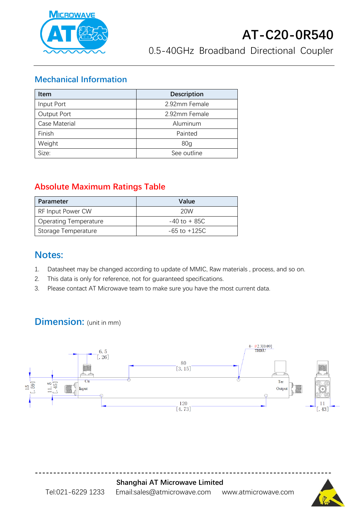

#### **Mechanical Information**

| <b>Item</b>   | <b>Description</b> |  |
|---------------|--------------------|--|
| Input Port    | 2.92mm Female      |  |
| Output Port   | 2.92mm Female      |  |
| Case Material | Aluminum           |  |
| Finish        | Painted            |  |
| Weight        | 80 <sub>q</sub>    |  |
| Size:         | See outline        |  |

#### **Absolute Maximum Ratings Table**

| <b>Parameter</b>             | Value            |
|------------------------------|------------------|
| <b>RF Input Power CW</b>     | 20W              |
| <b>Operating Temperature</b> | $-40$ to $+85C$  |
| Storage Temperature          | $-65$ to $+125C$ |

#### **Notes:**

- 1. Datasheet may be changed according to update of MMIC, Raw materials , process, and so on.
- 2. This data is only for reference, not for guaranteed specifications.
- 3. Please contact AT Microwave team to make sure you have the most current data.

### **Dimension:** (unit in mm)



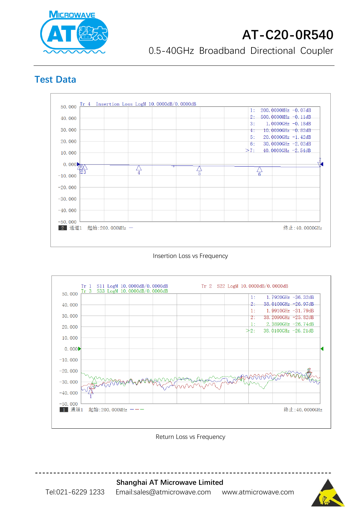

## **AT-C20-0R540**

0.5-40GHz Broadband Directional Coupler

### **Test Data**



Insertion Loss vs Frequency



Return Loss vs Frequency